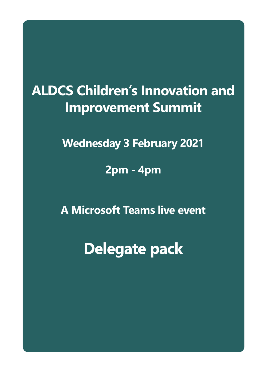# **ALDCS Children's Innovation and Improvement Summit**

**Wednesday 3 February 2021**

**2pm - 4pm** 

**A Microsoft Teams live event**

**Delegate pack**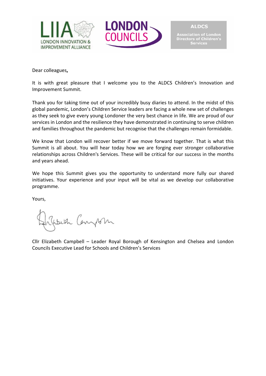



nasociation or Estraon<br>Directors of Children's<br>Services

**ALDCS** 

Dear colleagues**,** 

It is with great pleasure that I welcome you to the ALDCS Children's Innovation and Improvement Summit.

Thank you for taking time out of your incredibly busy diaries to attend. In the midst of this global pandemic, London's Children Service leaders are facing a whole new set of challenges as they seek to give every young Londoner the very best chance in life. We are proud of our services in London and the resilience they have demonstrated in continuing to serve children and families throughout the pandemic but recognise that the challenges remain formidable.

We know that London will recover better if we move forward together. That is what this Summit is all about. You will hear today how we are forging ever stronger collaborative relationships across Children's Services. These will be critical for our success in the months and years ahead.

We hope this Summit gives you the opportunity to understand more fully our shared initiatives. Your experience and your input will be vital as we develop our collaborative programme.

Yours,

Watch Canyson

Cllr Elizabeth Campbell – Leader Royal Borough of Kensington and Chelsea and London Councils Executive Lead for Schools and Children's Services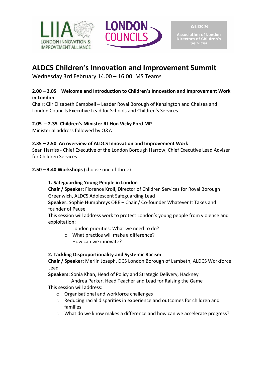



ectors of Children's **Services** 

# **ALDCS Children's Innovation and Improvement Summit**

Wednesday 3rd February 14.00 – 16.00: MS Teams

# **2.00 – 2.05 Welcome and Introduction to Children's Innovation and Improvement Work in London**

Chair: Cllr Elizabeth Campbell – Leader Royal Borough of Kensington and Chelsea and London Councils Executive Lead for Schools and Children's Services

# **2.05 – 2.35 Children's Minister Rt Hon Vicky Ford MP**

Ministerial address followed by Q&A

# **2.35 – 2.50 An overview of ALDCS Innovation and Improvement Work**

Sean Harriss - Chief Executive of the London Borough Harrow, Chief Executive Lead Adviser for Children Services

# **2.50 – 3.40 Workshops** (choose one of three)

# **1. Safeguarding Young People in London**

**Chair / Speaker:** Florence Kroll, Director of Children Services for Royal Borough Greenwich, ALDCS Adolescent Safeguarding Lead

**Speaker:** Sophie Humphreys OBE – Chair / Co-founder Whatever It Takes and founder of Pause

This session will address work to protect London's young people from violence and exploitation:

- o London priorities: What we need to do?
- o What practice will make a difference?
- o How can we innovate?

# **2. Tackling Disproportionality and Systemic Racism**

**Chair / Speaker:** Merlin Joseph, DCS London Borough of Lambeth, ALDCS Workforce Lead

**Speakers:** Sonia Khan, Head of Policy and Strategic Delivery, Hackney

Andrea Parker, Head Teacher and Lead for Raising the Game

This session will address:

- o Organisational and workforce challenges
- o Reducing racial disparities in experience and outcomes for children and families
- o What do we know makes a difference and how can we accelerate progress?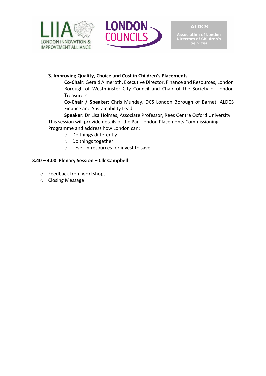



**Association of London<br>Directors of Children's<br>Services** 

## **3. Improving Quality, Choice and Cost in Children's Placements**

**Co-Chair:** Gerald Almeroth, Executive Director, Finance and Resources, London Borough of Westminster City Council and Chair of the Society of London Treasurers

**Co-Chair / Speaker:** Chris Munday, DCS London Borough of Barnet, ALDCS Finance and Sustainability Lead

**Speaker:** Dr Lisa Holmes, Associate Professor, Rees Centre Oxford University This session will provide details of the Pan-London Placements Commissioning Programme and address how London can:

- o Do things differently
- o Do things together
- o Lever in resources for invest to save

## **3.40 – 4.00 Plenary Session – Cllr Campbell**

- o Feedback from workshops
- o Closing Message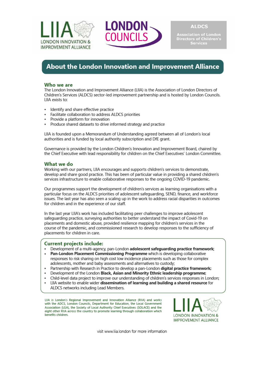



Directors of Children's

# About the London Innovation and Improvement Alliance

#### Who we are

The London Innovation and Improvement Alliance (LIIA) is the Association of London Directors of Children's Services (ALDCS) sector-led improvement partnership and is hosted by London Councils. I IIA exists to:

- Identify and share effective practice  $\ddot{\phantom{0}}$
- Facilitate collaboration to address ALDCS priorities
- Provide a platform for innovation
- Produce shared datasets to drive informed strategy and practice

LIIA is founded upon a Memorandum of Understanding agreed between all of London's local authorities and is funded by local authority subscription and DfE grant.

Governance is provided by the London Children's Innovation and Improvement Board, chaired by the Chief Executive with lead responsibility for children on the Chief Executives' London Committee.

#### What we do

Working with our partners, LIIA encourages and supports children's services to demonstrate, develop and share good practice. This has been of particular value in providing a shared children's services infrastructure to enable collaborative responses to the ongoing COVID-19 pandemic.

Our programmes support the development of children's services as learning organisations with a particular focus on the ALDCS priorities of adolescent safequarding, SEND, finance, and workforce issues. The last year has also seen a scaling up in the work to address racial disparities in outcomes for children and in the experience of our staff.

In the last year LIIA's work has included facilitating peer challenges to improve adolescent safeguarding practice, surveying authorities to better understand the impact of Covid-19 on placements and domestic abuse, provided resilience mapping for children's services in the course of the pandemic, and commissioned research to develop responses to the sufficiency of placements for children in care.

#### **Current projects include:**

- . Development of a multi-agency, pan-London adolescent safeguarding practice framework;
- Pan-London Placement Commissioning Programme which is developing collaborative  $\ddot{\phantom{a}}$ responses to risk sharing on high cost low incidence placements such as those for complex adolescents, mother and baby assessments and alternatives to custody;
- Partnership with Research in Practice to develop a pan-London digital practice framework;
- Development of the London Black, Asian and Minority Ethnic leadership programme;
- Child-level data project to improve our understanding of children's services responses in London;
- LIIA website to enable wider dissemination of learning and building a shared resource for  $\bullet$ ALDCS networks including Lead Members.

LIIA is London's Regional Improvement and Innovation Alliance (RIIA) and works with the ADCS, London Councils, Department for Education, the Local Government Association (LGA), the Society of Local Authority Chief Executives (SOLACE) and the eight other RIIA across the country to promote learning through collaboration which benefits children.



visit www lija london for more information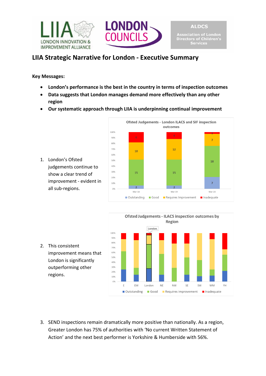



# **LIIA Strategic Narrative for London - Executive Summary**

**Key Messages:**

- **London's performance is the best in the country in terms of inspection outcomes**
- **Data suggests that London manages demand more effectively than any other region**
- **Our systematic approach through LIIA is underpinning continual improvement**







2. This consistent improvement means that London is significantly outperforming other regions.

3. SEND inspections remain dramatically more positive than nationally. As a region, Greater London has 75% of authorities with 'No current Written Statement of Action' and the next best performer is Yorkshire & Humberside with 56%.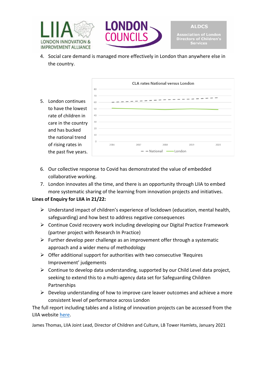



4. Social care demand is managed more effectively in London than anywhere else in the country.



- 6. Our collective response to Covid has demonstrated the value of embedded collaborative working.
- 7. London innovates all the time, and there is an opportunity through LIIA to embed more systematic sharing of the learning from innovation projects and initiatives.

# **Lines of Enquiry for LIIA in 21/22:**

- $\triangleright$  Understand impact of children's experience of lockdown (education, mental health, safeguarding) and how best to address negative consequences
- $\triangleright$  Continue Covid recovery work including developing our Digital Practice Framework (partner project with Research In Practice)
- $\triangleright$  Further develop peer challenge as an improvement offer through a systematic approach and a wider menu of methodology
- $\triangleright$  Offer additional support for authorities with two consecutive 'Requires Improvement' judgements
- $\triangleright$  Continue to develop data understanding, supported by our Child Level data project, seeking to extend this to a multi-agency data set for Safeguarding Children Partnerships
- $\triangleright$  Develop understanding of how to improve care leaver outcomes and achieve a more consistent level of performance across London

The full report including tables and a listing of innovation projects can be accessed from the LIIA website [here.](https://www.liia.london/download-file/876)

James Thomas, LIIA Joint Lead, Director of Children and Culture, LB Tower Hamlets, January 2021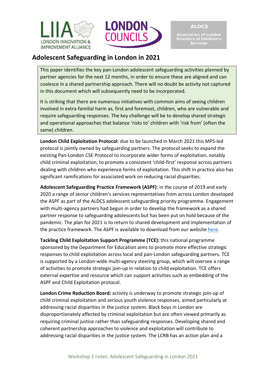



Association of London<br>Directors of Children's<br>Services

# **Adolescent Safeguarding in London in 2021**

This paper identifies the key pan-London adolescent safeguarding activities planned by partner agencies for the next 12 months, in order to ensure these are aligned and can coalesce in a shared partnership approach. There will no doubt be activity not captured in this document which will subsequently need to be incorporated.

It is striking that there are numerous initiatives with common aims of seeing children involved in extra-familial harm as, first and foremost, children, who are vulnerable and require safeguarding responses. The key challenge will be to develop shared strategic and operational approaches that balance 'risks to' children with 'risk from' (often the same) children.

**London Child Exploitation Protocol**: due to be launched in March 2021 this MPS-led protocol is jointly owned by safeguarding partners. The protocol seeks to expand the existing Pan-London CSE Protocol to incorporate wider forms of exploitation, notably child criminal exploitation, to promote a consistent 'child-first' response across partners dealing with children who experience forms of exploitation. This shift in practice also has significant ramifications for associated work on reducing racial disparities.

**Adolescent Safeguarding Practice Framework (ASPF)**: in the course of 2019 and early 2020 a range of senior children's services representatives from across London developed the ASPF as part of the ALDCS adolescent safeguarding priority programme. Engagement with multi-agency partners had begun in order to develop the framework as a shared partner response to safeguarding adolescents but has been put on hold because of the pandemic. The plan for 2021 is to return to shared development and implementation of the practice framework. The ASPF is available to download from our website [here.](https://www.liia.london/download-file/874)

**Tackling Child Exploitation Support Programme (TCE):** this national programme sponsored by the Department for Education aims to promote more effective strategic responses to child exploitation across local and pan-London safeguarding partners. TCE is supported by a London-wide multi-agency steering group, which will oversee a range of activities to promote strategic join-up in relation to child exploitation. TCE offers external expertise and resource which can support activities such as embedding of the ASPF and Child Exploitation protocol.

**London Crime Reduction Board:** activity is underway to promote strategic join-up of child criminal exploitation and serious youth violence responses, aimed particularly at addressing racial disparities in the justice system. Black boys in London are disproportionately affected by criminal exploitation but are often viewed primarily as requiring criminal justice rather than safeguarding responses. Developing shared and coherent partnership approaches to violence and exploitation will contribute to addressing racial disparities in the justice system. The LCRB has an action plan and a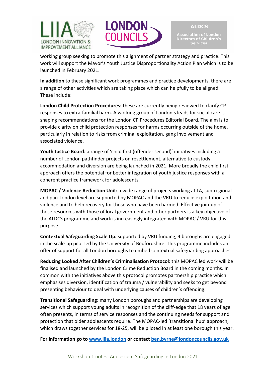



working group seeking to promote this alignment of partner strategy and practice. This work will support the Mayor's Youth Justice Disproportionality Action Plan which is to be launched in February 2021.

**In addition** to these significant work programmes and practice developments, there are a range of other activities which are taking place which can helpfully to be aligned. These include:

**London Child Protection Procedures:** these are currently being reviewed to clarify CP responses to extra-familial harm. A working group of London's leads for social care is shaping recommendations for the London CP Procedures Editorial Board. The aim is to provide clarity on child protection responses for harms occurring outside of the home, particularly in relation to risks from criminal exploitation, gang involvement and associated violence.

**Youth Justice Board:** a range of 'child first (offender second)' initiatives including a number of London pathfinder projects on resettlement, alternative to custody accommodation and diversion are being launched in 2021. More broadly the child first approach offers the potential for better integration of youth justice responses with a coherent practice framework for adolescents.

**MOPAC / Violence Reduction Unit:** a wide range of projects working at LA, sub-regional and pan-London level are supported by MOPAC and the VRU to reduce exploitation and violence and to help recovery for those who have been harmed. Effective join-up of these resources with those of local government and other partners is a key objective of the ALDCS programme and work is increasingly integrated with MOPAC / VRU for this purpose.

**Contextual Safeguarding Scale Up:** supported by VRU funding, 4 boroughs are engaged in the scale-up pilot led by the University of Bedfordshire. This programme includes an offer of support for all London boroughs to embed contextual safeguarding approaches.

**Reducing Looked After Children's Criminalisation Protocol:** this MOPAC led work will be finalised and launched by the London Crime Reduction Board in the coming months. In common with the initiatives above this protocol promotes partnership practice which emphasises diversion, identification of trauma / vulnerability and seeks to get beyond presenting behaviour to deal with underlying causes of children's offending.

**Transitional Safeguarding:** many London boroughs and partnerships are developing services which support young adults in recognition of the cliff-edge that 18 years of age often presents, in terms of service responses and the continuing needs for support and protection that older adolescents require. The MOPAC-led 'transitional hub' approach, which draws together services for 18-25, will be piloted in at least one borough this year.

**For information go to [www.liia.london](http://www.liia.london/) or contact [ben.byrne@londoncouncils.gov.uk](mailto:ben.byrne@londoncouncils.gov.uk)**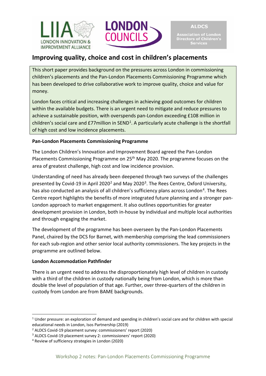



Directors of Children's **Services** 

# **Improving quality, choice and cost in children's placements**

This short paper provides background on the pressures across London in commissioning children's placements and the Pan-London Placements Commissioning Programme which has been developed to drive collaborative work to improve quality, choice and value for money.

London faces critical and increasing challenges in achieving good outcomes for children within the available budgets. There is an urgent need to mitigate and reduce pressures to achieve a sustainable position, with overspends pan-London exceeding £108 million in children's social care and £77 million in SEND<sup>[1](#page-9-0)</sup>. A particularly acute challenge is the shortfall of high cost and low incidence placements.

# **Pan-London Placements Commissioning Programme**

The London Children's Innovation and Improvement Board agreed the Pan-London Placements Commissioning Programme on 25th May 2020. The programme focuses on the area of greatest challenge, high cost and low incidence provision.

Understanding of need has already been deepened through two surveys of the challenges presented by Covid-19 in April [2](#page-9-1)020<sup>2</sup> and May 2020<sup>[3](#page-9-2)</sup>. The Rees Centre, Oxford University, has also conducted an analysis of all children's sufficiency plans across London<sup>[4](#page-9-3)</sup>. The Rees Centre report highlights the benefits of more integrated future planning and a stronger pan-London approach to market engagement. It also outlines opportunities for greater development provision in London, both in-house by individual and multiple local authorities and through engaging the market.

The development of the programme has been overseen by the Pan-London Placements Panel, chaired by the DCS for Barnet, with membership comprising the lead commissioners for each sub-region and other senior local authority commissioners. The key projects in the programme are outlined below.

# **London Accommodation Pathfinder**

 $\overline{a}$ 

There is an urgent need to address the disproportionately high level of children in custody with a third of the children in custody nationally being from London, which is more than double the level of population of that age. Further, over three-quarters of the children in custody from London are from BAME backgrounds.

<span id="page-9-0"></span><sup>&</sup>lt;sup>1</sup> Under pressure: an exploration of demand and spending in children's social care and for children with special educational needs in London, Isos Partnership (2019)

<span id="page-9-1"></span><sup>2</sup> ALDCS Covid-19 placement survey: commissioners' report (2020)

<span id="page-9-2"></span><sup>3</sup> ALDCS Covid-19 placement survey 2: commissioners' report (2020)

<span id="page-9-3"></span><sup>4</sup> Review of sufficiency strategies in London (2020)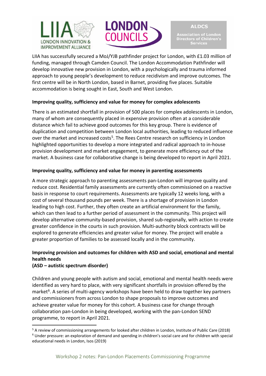



**ALDCS** Directors of Children's **Services** 

LIIA has successfully secured a MoJ/YJB pathfinder project for London, with £1.03 million of funding, managed through Camden Council. The London Accommodation Pathfinder will develop innovative new provision in London, with a psychologically and trauma informed approach to young people's development to reduce recidivism and improve outcomes. The first centre will be in North London, based in Barnet, providing five places. Suitable accommodation is being sought in East, South and West London.

## **Improving quality, sufficiency and value for money for complex adolescents**

There is an estimated shortfall in provision of 500 places for complex adolescents in London, many of whom are consequently placed in expensive provision often at a considerable distance which fail to achieve good outcomes for this key group. There is evidence of duplication and competition between London local authorities, leading to reduced influence over the market and increased costs<sup>[5](#page-10-0)</sup>. The Rees Centre research on sufficiency in London highlighted opportunities to develop a more integrated and radical approach to in-house provision development and market engagement, to generate more efficiency out of the market. A business case for collaborative change is being developed to report in April 2021.

#### **Improving quality, sufficiency and value for money in parenting assessments**

A more strategic approach to parenting assessments pan-London will improve quality and reduce cost. Residential family assessments are currently often commissioned on a reactive basis in response to court requirements. Assessments are typically 12 weeks long, with a cost of several thousand pounds per week. There is a shortage of provision in London leading to high cost. Further, they often create an artificial environment for the family, which can then lead to a further period of assessment in the community. This project will develop alternative community-based provision, shared sub-regionally, with action to create greater confidence in the courts in such provision. Multi-authority block contracts will be explored to generate efficiencies and greater value for money. The project will enable a greater proportion of families to be assessed locally and in the community.

# **Improving provision and outcomes for children with ASD and social, emotional and mental health needs**

#### **(ASD – autistic spectrum disorder)**

 $\overline{a}$ 

Children and young people with autism and social, emotional and mental health needs were identified as very hard to place, with very significant shortfalls in provision offered by the market<sup>6</sup>. A series of multi-agency workshops have been held to draw together key partners and commissioners from across London to shape proposals to improve outcomes and achieve greater value for money for this cohort. A business case for change through collaboration pan-London in being developed, working with the pan-London SEND programme, to report in April 2021.

<span id="page-10-1"></span><span id="page-10-0"></span><sup>5</sup> A review of commissioning arrangements for looked after children in London, Institute of Public Care (2018) <sup>6</sup> Under pressure: an exploration of demand and spending in children's social care and for children with special educational needs in London, Isos (2019)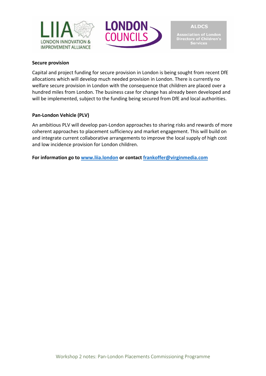



Association of London<br>Directors of Children's<br>Services

#### **Secure provision**

Capital and project funding for secure provision in London is being sought from recent DfE allocations which will develop much needed provision in London. There is currently no welfare secure provision in London with the consequence that children are placed over a hundred miles from London. The business case for change has already been developed and will be implemented, subject to the funding being secured from DfE and local authorities.

#### **Pan-London Vehicle (PLV)**

An ambitious PLV will develop pan-London approaches to sharing risks and rewards of more coherent approaches to placement sufficiency and market engagement. This will build on and integrate current collaborative arrangements to improve the local supply of high cost and low incidence provision for London children.

**For information go to [www.liia.london](http://www.liia.london/) or contact [frankoffer@virginmedia.com](mailto:frankoffer@virginmedia.com)**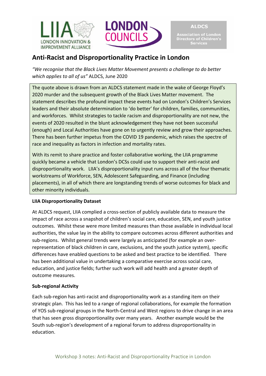



Association of London<br>Directors of Children's<br>Services

# **Anti-Racist and Disproportionality Practice in London**

*"We recognise that the Black Lives Matter Movement presents a challenge to do better which applies to all of us"* ALDCS, June 2020

The quote above is drawn from an ALDCS statement made in the wake of George Floyd's 2020 murder and the subsequent growth of the Black Lives Matter movement. The statement describes the profound impact these events had on London's Children's Services leaders and their absolute determination to 'do better' for children, families, communities, and workforces. Whilst strategies to tackle racism and disproportionality are not new, the events of 2020 resulted in the blunt acknowledgement they have not been successful (enough) and Local Authorities have gone on to urgently review and grow their approaches. There has been further impetus from the COVID 19 pandemic, which raises the spectre of race and inequality as factors in infection and mortality rates.

With its remit to share practice and foster collaborative working, the LIIA programme quickly became a vehicle that London's DCSs could use to support their anti-racist and disproportionality work. LIIA's disproportionality input runs across all of the four thematic workstreams of Workforce, SEN, Adolescent Safeguarding, and Finance (including placements), in all of which there are longstanding trends of worse outcomes for black and other minority individuals.

# **LIIA Disproportionality Dataset**

At ALDCS request, LIIA complied a cross-section of publicly available data to measure the impact of race across a snapshot of children's social care, education, SEN, and youth justice outcomes. Whilst these were more limited measures than those available in individual local authorities, the value lay in the ability to compare outcomes across different authorities and sub-regions. Whilst general trends were largely as anticipated (for example an overrepresentation of black children in care, exclusions, and the youth justice system), specific differences have enabled questions to be asked and best practice to be identified. There has been additional value in undertaking a comparative exercise across social care, education, and justice fields; further such work will add health and a greater depth of outcome measures.

# **Sub-regional Activity**

Each sub-region has anti-racist and disproportionality work as a standing item on their strategic plan. This has led to a range of regional collaborations, for example the formation of YOS sub-regional groups in the North-Central and West regions to drive change in an area that has seen gross disproportionality over many years. Another example would be the South sub-region's development of a regional forum to address disproportionality in education.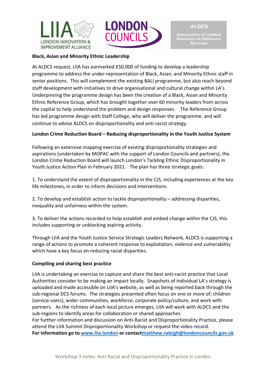



**Black, Asian and Minority Ethnic Leadership**

At ALDCS request, LIIA has earmarked £50,000 of funding to develop a leadership programme to address the under-representation of Black, Asian, and Minority Ethnic staff in senior positions. This will complement the existing BALI programme, but also reach beyond staff development with initiatives to drive organisational and cultural change within LA's. Underpinning the programme design has been the creation of a Black, Asian and Minority Ethnic Reference Group, which has brought together over 60 minority leaders from across the capital to help understand the problem and design responses. The Reference Group has led programme design with Staff College, who will deliver the programme, and will continue to advise ALDCS on disproportionality and anti-racist strategy.

## **London Crime Reduction Board – Reducing disproportionality in the Youth Justice System**

Following an extensive mapping exercise of existing disproportionality strategies and aspirations (undertaken by MOPAC with the support of London Councils and partners), the London Crime Reduction Board will launch London's Tackling Ethnic Disproportionality in Youth Justice Action Plan in February 2021. The plan has three strategic goals:

1. To understand the extent of disproportionality in the CJS, including experiences at the key life milestones, in order to inform decisions and interventions.

2. To develop and establish action to tackle disproportionality – addressing disparities, inequality and unfairness within the system.

3. To deliver the actions recorded to help establish and embed change within the CJS, this includes supporting or unblocking aspiring activity.

Through LIIA and the Youth Justice Service Strategic Leaders Network, ALDCS is supporting a range of actions to promote a coherent response to exploitation, violence and vulnerability which have a key focus on reducing racial disparities.

#### **Compiling and sharing best practice**

LIIA is undertaking an exercise to capture and share the best anti-racist practice that Local Authorities consider to be making an impact locally. Snapshots of individual LA's strategy is uploaded and made accessible on LIIA's website, as well as being reported back through the sub-regional DCS forums. The strategies presented often focus on one or more of; children (service users), wider communities, workforce, corporate policy/culture, and work with partners. As the richness of each local picture emerges, LIIA will work with ALDCS and the sub-regions to identify areas for collaboration or shared approaches.

For further information and discussion on Anti-Racist and Disproportionality Practice, please attend the LIIA Summit Disproportionality Workshop or request the video record.

**For information go to [www.liia.london](http://www.liia.london/) or contac[tmatthew.raleigh@londoncouncils.gov.uk](mailto:matthew.raleigh@londoncouncils.gov.uk)**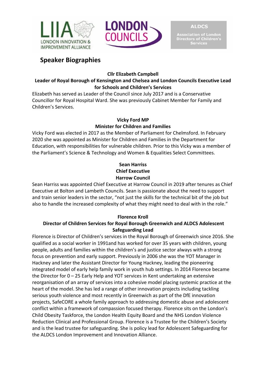



Directors of Children's **Services** 

# **Speaker Biographies**

**Cllr Elizabeth Campbell** 

# **Leader of Royal Borough of Kensington and Chelsea and London Councils Executive Lead for Schools and Children's Services**

Elizabeth has served as Leader of the Council since July 2017 and is a Conservative Councillor for Royal Hospital Ward. She was previously Cabinet Member for Family and Children's Services.

# **Vicky Ford MP Minister for Children and Families**

Vicky Ford was elected in 2017 as the Member of Parliament for Chelmsford. In February 2020 she was appointed as Minister for Children and Families in the Department for Education, with responsibilities for vulnerable children. Prior to this Vicky was a member of the Parliament's Science & Technology and Women & Equalities Select Committees.

# **Sean Harriss Chief Executive Harrow Council**

Sean Harriss was appointed Chief Executive at Harrow Council in 2019 after tenures as Chief Executive at Bolton and Lambeth Councils. Sean is passionate about the need to support and train senior leaders in the sector, "not just the skills for the technical bit of the job but also to handle the increased complexity of what they might need to deal with in the role."

# **Florence Kroll**

# **Director of Children Services for Royal Borough Greenwich and ALDCS Adolescent Safeguarding Lead**

Florence is Director of Children's services in the Royal Borough of Greenwich since 2016. She qualified as a social worker in 1991and has worked for over 35 years with children, young people, adults and families within the children's and justice sector always with a strong focus on prevention and early support. Previously in 2006 she was the YOT Manager in Hackney and later the Assistant Director for Young Hackney, leading the pioneering integrated model of early help family work in youth hub settings. In 2014 Florence became the Director for 0 – 25 Early Help and YOT services in Kent undertaking an extensive reorganisation of an array of services into a cohesive model placing systemic practice at the heart of the model. She has led a range of other innovation projects including tackling serious youth violence and most recently in Greenwich as part of the DfE innovation projects, SafeCORE a whole family approach to addressing domestic abuse and adolescent conflict within a framework of compassion focused therapy. Florence sits on the London's Child Obesity Taskforce, the London Health Equity Board and the NHS London Violence Reduction Clinical and Professional Group. Florence is a Trustee for the Children's Society and is the lead trustee for safeguarding. She is policy lead for Adolescent Safeguarding for the ALDCS London Improvement and Innovation Alliance.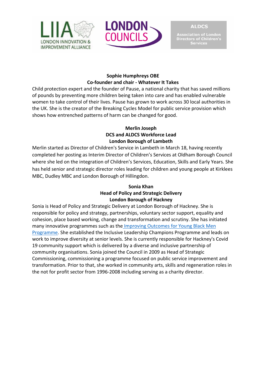



**Association of Edition**<br>Directors of Children's<br>Services

## **Sophie Humphreys OBE Co-founder and chair - Whatever It Takes**

Child protection expert and the founder of Pause, a national charity that has saved millions of pounds by preventing more children being taken into care and has enabled vulnerable women to take control of their lives. Pause has grown to work across 30 local authorities in the UK. She is the creator of the Breaking Cycles Model for public service provision which shows how entrenched patterns of harm can be changed for good.

## **Merlin Joseph DCS and ALDCS Workforce Lead London Borough of Lambeth**

Merlin started as Director of Children's Service in Lambeth in March 18, having recently completed her posting as Interim Director of Children's Services at Oldham Borough Council where she led on the integration of Children's Services, Education, Skills and Early Years. She has held senior and strategic director roles leading for children and young people at Kirklees MBC, Dudley MBC and London Borough of Hillingdon.

# **Sonia Khan Head of Policy and Strategic Delivery London Borough of Hackney**

Sonia is Head of Policy and Strategic Delivery at London Borough of Hackney. She is responsible for policy and strategy, partnerships, voluntary sector support, equality and cohesion, place based working, change and transformation and scrutiny. She has initiated many innovative programmes such as the [Improving Outcomes for Young Black Men](https://hackney.gov.uk/young-black-men)  [Programme.](https://hackney.gov.uk/young-black-men) She established the Inclusive Leadership Champions Programme and leads on work to improve diversity at senior levels. She is currently responsible for Hackney's Covid 19 community support which is delivered by a diverse and inclusive partnership of community organisations. Sonia joined the Council in 2009 as Head of Strategic Commissioning, commissioning a programme focused on public service improvement and transformation. Prior to that, she worked in community arts, skills and regeneration roles in the not for profit sector from 1996-2008 including serving as a charity director.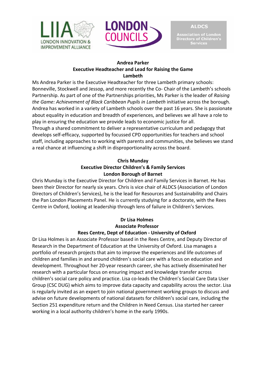



ectors of Children's **Services** 

#### **Andrea Parker Executive Headteacher and Lead for Raising the Game Lambeth**

Ms Andrea Parker is the Executive Headteacher for three Lambeth primary schools: Bonneville, Stockwell and Jessop, and more recently the Co- Chair of the Lambeth's schools Partnership. As part of one of the Partnerships priorities, Ms Parker is the leader of *Raising the Game: Achievement of Black Caribbean Pupils in Lambeth* initiative across the borough. Andrea has worked in a variety of Lambeth schools over the past 16 years. She is passionate about equality in education and breadth of experiences, and believes we all have a role to play in ensuring the education we provide leads to economic justice for all. Through a shared commitment to deliver a representative curriculum and pedagogy that develops self-efficacy, supported by focussed CPD opportunities for teachers and school staff, including approaches to working with parents and communities, she believes we stand a real chance at influencing a shift in disproportionality across the board.

# **Chris Munday Executive Director Children's & Family Services London Borough of Barnet**

Chris Munday is the Executive Director for Children and Family Services in Barnet. He has been their Director for nearly six years. Chris is vice chair of ALDCS (Association of London Directors of Children's Services), he is the lead for Resources and Sustainability and Chairs the Pan London Placements Panel. He is currently studying for a doctorate, with the Rees Centre in Oxford, looking at leadership through lens of failure in Children's Services.

#### **Dr Lisa Holmes Associate Professor Rees Centre, Dept of Education - University of Oxford**

Dr Lisa Holmes is an Associate Professor based in the Rees Centre, and Deputy Director of Research in the Department of Education at the University of Oxford. Lisa manages a portfolio of research projects that aim to improve the experiences and life outcomes of children and families in and around children's social care with a focus on education and development. Throughout her 20-year research career, she has actively disseminated her research with a particular focus on ensuring impact and knowledge transfer across children's social care policy and practice. Lisa co-leads the Children's Social Care Data User Group (CSC DUG) which aims to improve data capacity and capability across the sector. Lisa is regularly invited as an expert to join national government working groups to discuss and advise on future developments of national datasets for children's social care, including the Section 251 expenditure return and the Children in Need Census. Lisa started her career working in a local authority children's home in the early 1990s.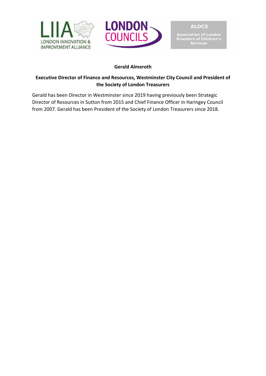



**Association of London<br>Directors of Children's<br>Services** 

# **Gerald Almeroth**

# **Executive Director of Finance and Resources, Westminster City Council and President of the Society of London Treasurers**

Gerald has been Director in Westminster since 2019 having previously been Strategic Director of Resources in Sutton from 2015 and Chief Finance Officer in Haringey Council from 2007. Gerald has been President of the Society of London Treasurers since 2018.